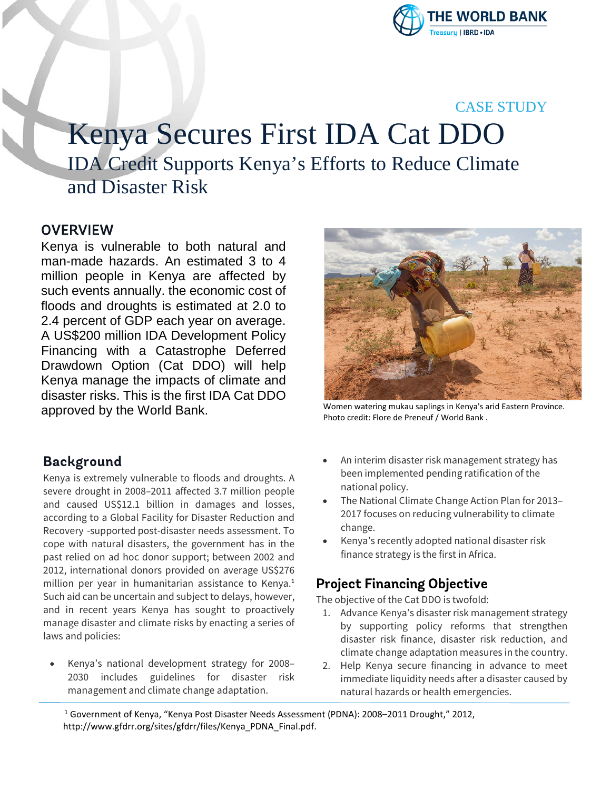

### CASE STUDY

# Kenya Secures First IDA Cat DDO IDA Credit Supports Kenya's Efforts to Reduce Climate and Disaster Risk

#### **OVERVIEW**

Kenya is vulnerable to both natural and man-made hazards. An estimated 3 to 4 million people in Kenya are affected by such events annually. the economic cost of floods and droughts is estimated at 2.0 to 2.4 percent of GDP each year on average. A US\$200 million IDA Development Policy Financing with a Catastrophe Deferred Drawdown Option (Cat DDO) will help Kenya manage the impacts of climate and disaster risks. This is the first IDA Cat DDO approved by the World Bank.

#### **Background**

Kenya is extremely vulnerable to floods and droughts. A severe drought in 2008–2011 affected 3.7 million people and caused US\$12.1 billion in damages and losses, according to a Global Facility for Disaster Reduction and Recovery -supported post-disaster needs assessment. To cope with natural disasters, the government has in the past relied on ad hoc donor support; between 2002 and 2012, international donors provided on average US\$276 million per year in humanitarian assistance to Kenya.<sup>1</sup> Such aid can be uncertain and subject to delays, however, and in recent years Kenya has sought to proactively manage disaster and climate risks by enacting a series of laws and policies:

• Kenya's national development strategy for 2008– 2030 includes guidelines for disaster risk management and climate change adaptation.



Women watering mukau saplings in Kenya's arid Eastern Province. Photo credit: Flore de Preneuf / World Bank .

- An interim disaster risk management strategy has been implemented pending ratification of the national policy.
- The National Climate Change Action Plan for 2013– 2017 focuses on reducing vulnerability to climate change.
- Kenya's recently adopted national disaster risk finance strategy is the first in Africa.

# **Project Financing Objective**

The objective of the Cat DDO is twofold:

- 1. Advance Kenya's disaster risk management strategy by supporting policy reforms that strengthen disaster risk finance, disaster risk reduction, and climate change adaptation measures in the country.
- 2. Help Kenya secure financing in advance to meet immediate liquidity needs after a disaster caused by natural hazards or health emergencies.

<sup>1</sup> Government of Kenya, "Kenya Post Disaster Needs Assessment (PDNA): 2008–2011 Drought," 2012, http://www.gfdrr.org/sites/gfdrr/files/Kenya\_PDNA\_Final.pdf.